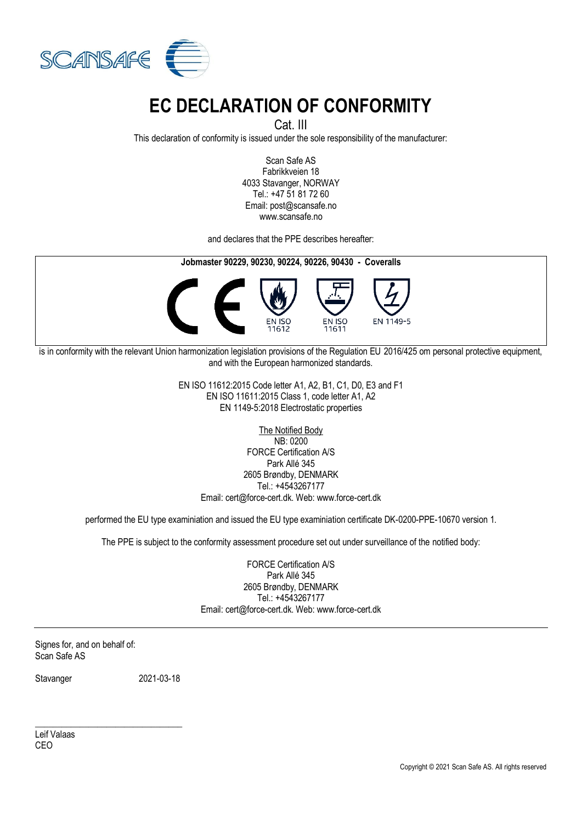

## **EC DECLARATION OF CONFORMITY**

Cat. III

This declaration of conformity is issued under the sole responsibility of the manufacturer:

Scan Safe AS Fabrikkveien 18 4033 Stavanger, NORWAY Tel.: +47 51 81 72 60 Email: post@scansafe.no www.scansafe.no

and declares that the PPE describes hereafter:



is in conformity with the relevant Union harmonization legislation provisions of the Regulation EU 2016/425 om personal protective equipment, and with the European harmonized standards.

> EN ISO 11612:2015 Code letter A1, A2, B1, C1, D0, E3 and F1 EN ISO 11611:2015 Class 1, code letter A1, A2 EN 1149-5:2018 Electrostatic properties

> > The Notified Body

NB: 0200 FORCE Certification A/S Park Allé 345 2605 Brøndby, DENMARK Tel.: +4543267177 Email: cert@force-cert.dk. Web: www.force-cert.dk

performed the EU type examiniation and issued the EU type examiniation certificate DK-0200-PPE-10670 version 1.

The PPE is subject to the conformity assessment procedure set out under surveillance of the notified body:

FORCE Certification A/S Park Allé 345 2605 Brøndby, DENMARK Tel.: +4543267177 Email: cert@force-cert.dk. Web: www.force-cert.dk

Signes for, and on behalf of: Scan Safe AS

Stavanger 2021-03-18

\_\_\_\_\_\_\_\_\_\_\_\_\_\_\_\_\_\_\_\_\_\_\_\_\_\_\_\_\_\_\_\_\_

Leif Valaas CEO